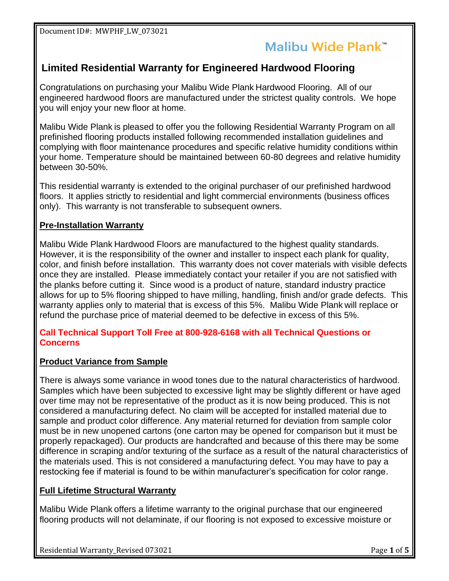## Malibu Wide Plank™

### **Limited Residential Warranty for Engineered Hardwood Flooring**

Congratulations on purchasing your Malibu Wide Plank Hardwood Flooring. All of our engineered hardwood floors are manufactured under the strictest quality controls. We hope you will enjoy your new floor at home.

Malibu Wide Plank is pleased to offer you the following Residential Warranty Program on all prefinished flooring products installed following recommended installation guidelines and complying with floor maintenance procedures and specific relative humidity conditions within your home. Temperature should be maintained between 60-80 degrees and relative humidity between 30-50%.

This residential warranty is extended to the original purchaser of our prefinished hardwood floors. It applies strictly to residential and light commercial environments (business offices only). This warranty is not transferable to subsequent owners.

#### **Pre-Installation Warranty**

Malibu Wide Plank Hardwood Floors are manufactured to the highest quality standards. However, it is the responsibility of the owner and installer to inspect each plank for quality, color, and finish before installation. This warranty does not cover materials with visible defects once they are installed. Please immediately contact your retailer if you are not satisfied with the planks before cutting it. Since wood is a product of nature, standard industry practice allows for up to 5% flooring shipped to have milling, handling, finish and/or grade defects. This warranty applies only to material that is excess of this 5%. Malibu Wide Plank will replace or refund the purchase price of material deemed to be defective in excess of this 5%.

#### **Call Technical Support Toll Free at 800-928-6168 with all Technical Questions or Concerns**

#### **Product Variance from Sample**

There is always some variance in wood tones due to the natural characteristics of hardwood. Samples which have been subjected to excessive light may be slightly different or have aged over time may not be representative of the product as it is now being produced. This is not considered a manufacturing defect. No claim will be accepted for installed material due to sample and product color difference. Any material returned for deviation from sample color must be in new unopened cartons (one carton may be opened for comparison but it must be properly repackaged). Our products are handcrafted and because of this there may be some difference in scraping and/or texturing of the surface as a result of the natural characteristics of the materials used. This is not considered a manufacturing defect. You may have to pay a restocking fee if material is found to be within manufacturer's specification for color range.

#### **Full Lifetime Structural Warranty**

Malibu Wide Plank offers a lifetime warranty to the original purchase that our engineered flooring products will not delaminate, if our flooring is not exposed to excessive moisture or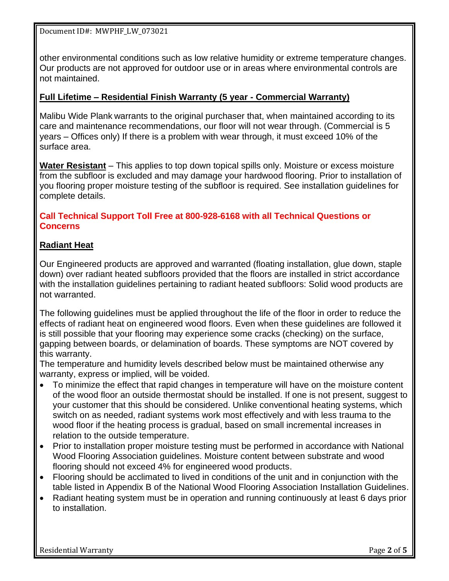other environmental conditions such as low relative humidity or extreme temperature changes. Our products are not approved for outdoor use or in areas where environmental controls are not maintained.

#### **Full Lifetime – Residential Finish Warranty (5 year - Commercial Warranty)**

Malibu Wide Plank warrants to the original purchaser that, when maintained according to its care and maintenance recommendations, our floor will not wear through. (Commercial is 5 years – Offices only) If there is a problem with wear through, it must exceed 10% of the surface area.

**Water Resistant** – This applies to top down topical spills only. Moisture or excess moisture from the subfloor is excluded and may damage your hardwood flooring. Prior to installation of you flooring proper moisture testing of the subfloor is required. See installation guidelines for complete details.

#### **Call Technical Support Toll Free at 800-928-6168 with all Technical Questions or Concerns**

#### **Radiant Heat**

Our Engineered products are approved and warranted (floating installation, glue down, staple down) over radiant heated subfloors provided that the floors are installed in strict accordance with the installation guidelines pertaining to radiant heated subfloors: Solid wood products are not warranted.

The following guidelines must be applied throughout the life of the floor in order to reduce the effects of radiant heat on engineered wood floors. Even when these guidelines are followed it is still possible that your flooring may experience some cracks (checking) on the surface, gapping between boards, or delamination of boards. These symptoms are NOT covered by this warranty.

The temperature and humidity levels described below must be maintained otherwise any warranty, express or implied, will be voided.

- To minimize the effect that rapid changes in temperature will have on the moisture content of the wood floor an outside thermostat should be installed. If one is not present, suggest to your customer that this should be considered. Unlike conventional heating systems, which switch on as needed, radiant systems work most effectively and with less trauma to the wood floor if the heating process is gradual, based on small incremental increases in relation to the outside temperature.
- Prior to installation proper moisture testing must be performed in accordance with National Wood Flooring Association guidelines. Moisture content between substrate and wood flooring should not exceed 4% for engineered wood products.
- Flooring should be acclimated to lived in conditions of the unit and in conjunction with the table listed in Appendix B of the National Wood Flooring Association Installation Guidelines.
- Radiant heating system must be in operation and running continuously at least 6 days prior to installation.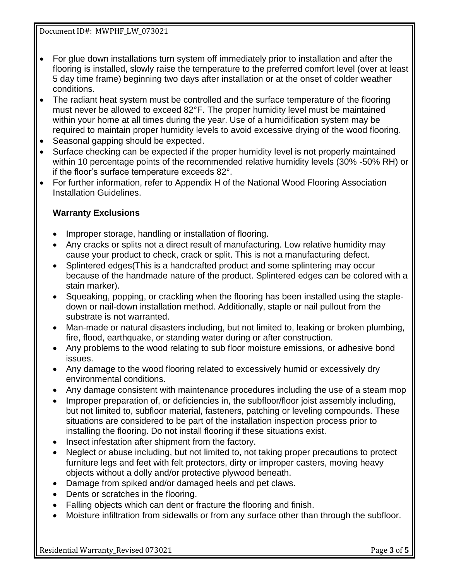- For glue down installations turn system off immediately prior to installation and after the flooring is installed, slowly raise the temperature to the preferred comfort level (over at least 5 day time frame) beginning two days after installation or at the onset of colder weather conditions.
- The radiant heat system must be controlled and the surface temperature of the flooring must never be allowed to exceed 82°F. The proper humidity level must be maintained within your home at all times during the year. Use of a humidification system may be required to maintain proper humidity levels to avoid excessive drying of the wood flooring.
- Seasonal gapping should be expected.
- Surface checking can be expected if the proper humidity level is not properly maintained within 10 percentage points of the recommended relative humidity levels (30% -50% RH) or if the floor's surface temperature exceeds 82°.
- For further information, refer to Appendix H of the National Wood Flooring Association Installation Guidelines.

#### **Warranty Exclusions**

- Improper storage, handling or installation of flooring.
- Any cracks or splits not a direct result of manufacturing. Low relative humidity may cause your product to check, crack or split. This is not a manufacturing defect.
- Splintered edges(This is a handcrafted product and some splintering may occur because of the handmade nature of the product. Splintered edges can be colored with a stain marker).
- Squeaking, popping, or crackling when the flooring has been installed using the stapledown or nail-down installation method. Additionally, staple or nail pullout from the substrate is not warranted.
- Man-made or natural disasters including, but not limited to, leaking or broken plumbing, fire, flood, earthquake, or standing water during or after construction.
- Any problems to the wood relating to sub floor moisture emissions, or adhesive bond issues.
- Any damage to the wood flooring related to excessively humid or excessively dry environmental conditions.
- Any damage consistent with maintenance procedures including the use of a steam mop
- Improper preparation of, or deficiencies in, the subfloor/floor joist assembly including, but not limited to, subfloor material, fasteners, patching or leveling compounds. These situations are considered to be part of the installation inspection process prior to installing the flooring. Do not install flooring if these situations exist.
- Insect infestation after shipment from the factory.
- Neglect or abuse including, but not limited to, not taking proper precautions to protect furniture legs and feet with felt protectors, dirty or improper casters, moving heavy objects without a dolly and/or protective plywood beneath.
- Damage from spiked and/or damaged heels and pet claws.
- Dents or scratches in the flooring.
- Falling objects which can dent or fracture the flooring and finish.
- Moisture infiltration from sidewalls or from any surface other than through the subfloor.

Residential Warranty\_Revised 073021 Page 3 of 5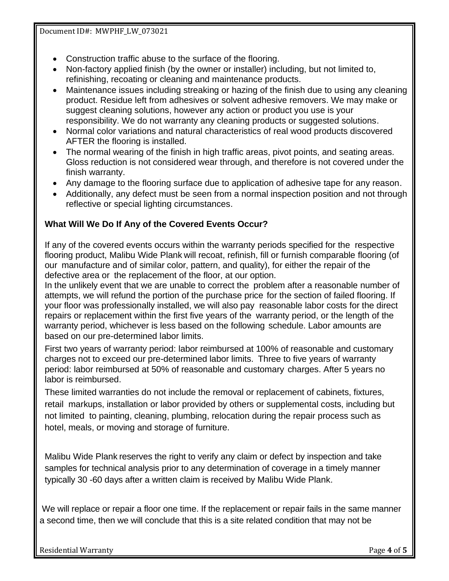- Construction traffic abuse to the surface of the flooring.
- Non-factory applied finish (by the owner or installer) including, but not limited to, refinishing, recoating or cleaning and maintenance products.
- Maintenance issues including streaking or hazing of the finish due to using any cleaning product. Residue left from adhesives or solvent adhesive removers. We may make or suggest cleaning solutions, however any action or product you use is your responsibility. We do not warranty any cleaning products or suggested solutions.
- Normal color variations and natural characteristics of real wood products discovered AFTER the flooring is installed.
- The normal wearing of the finish in high traffic areas, pivot points, and seating areas. Gloss reduction is not considered wear through, and therefore is not covered under the finish warranty.
- Any damage to the flooring surface due to application of adhesive tape for any reason.
- Additionally, any defect must be seen from a normal inspection position and not through reflective or special lighting circumstances.

#### **What Will We Do If Any of the Covered Events Occur?**

If any of the covered events occurs within the warranty periods specified for the respective flooring product, Malibu Wide Plank will recoat, refinish, fill or furnish comparable flooring (of our manufacture and of similar color, pattern, and quality), for either the repair of the defective area or the replacement of the floor, at our option.

In the unlikely event that we are unable to correct the problem after a reasonable number of attempts, we will refund the portion of the purchase price for the section of failed flooring. If your floor was professionally installed, we will also pay reasonable labor costs for the direct repairs or replacement within the first five years of the warranty period, or the length of the warranty period, whichever is less based on the following schedule. Labor amounts are based on our pre-determined labor limits.

First two years of warranty period: labor reimbursed at 100% of reasonable and customary charges not to exceed our pre-determined labor limits. Three to five years of warranty period: labor reimbursed at 50% of reasonable and customary charges. After 5 years no labor is reimbursed.

These limited warranties do not include the removal or replacement of cabinets, fixtures, retail markups, installation or labor provided by others or supplemental costs, including but not limited to painting, cleaning, plumbing, relocation during the repair process such as hotel, meals, or moving and storage of furniture.

Malibu Wide Plank reserves the right to verify any claim or defect by inspection and take samples for technical analysis prior to any determination of coverage in a timely manner typically 30 -60 days after a written claim is received by Malibu Wide Plank.

We will replace or repair a floor one time. If the replacement or repair fails in the same manner a second time, then we will conclude that this is a site related condition that may not be